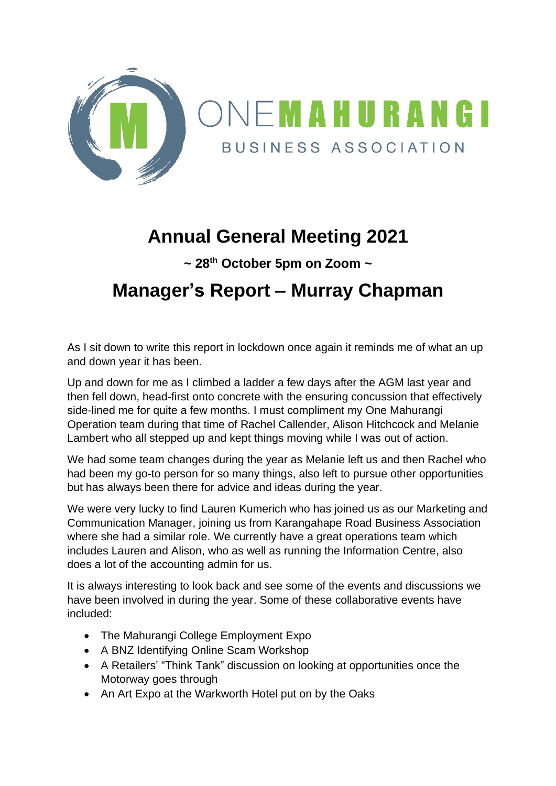

# **Annual General Meeting 2021**

**~ 28th October 5pm on Zoom ~**

## **Manager's Report – Murray Chapman**

As I sit down to write this report in lockdown once again it reminds me of what an up and down year it has been.

Up and down for me as I climbed a ladder a few days after the AGM last year and then fell down, head-first onto concrete with the ensuring concussion that effectively side-lined me for quite a few months. I must compliment my One Mahurangi Operation team during that time of Rachel Callender, Alison Hitchcock and Melanie Lambert who all stepped up and kept things moving while I was out of action.

We had some team changes during the year as Melanie left us and then Rachel who had been my go-to person for so many things, also left to pursue other opportunities but has always been there for advice and ideas during the year.

We were very lucky to find Lauren Kumerich who has joined us as our Marketing and Communication Manager, joining us from Karangahape Road Business Association where she had a similar role. We currently have a great operations team which includes Lauren and Alison, who as well as running the Information Centre, also does a lot of the accounting admin for us.

It is always interesting to look back and see some of the events and discussions we have been involved in during the year. Some of these collaborative events have included:

- The Mahurangi College Employment Expo
- A BNZ Identifying Online Scam Workshop
- A Retailers' "Think Tank" discussion on looking at opportunities once the Motorway goes through
- An Art Expo at the Warkworth Hotel put on by the Oaks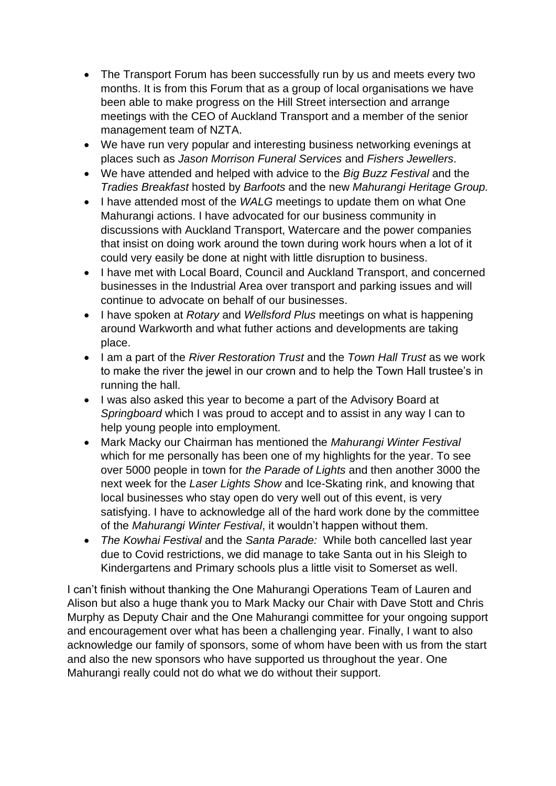- The Transport Forum has been successfully run by us and meets every two months. It is from this Forum that as a group of local organisations we have been able to make progress on the Hill Street intersection and arrange meetings with the CEO of Auckland Transport and a member of the senior management team of NZTA.
- We have run very popular and interesting business networking evenings at places such as *Jason Morrison Funeral Services* and *Fishers Jewellers*.
- We have attended and helped with advice to the *Big Buzz Festival* and the *Tradies Breakfast* hosted by *Barfoots* and the new *Mahurangi Heritage Group.*
- I have attended most of the *WALG* meetings to update them on what One Mahurangi actions. I have advocated for our business community in discussions with Auckland Transport, Watercare and the power companies that insist on doing work around the town during work hours when a lot of it could very easily be done at night with little disruption to business.
- I have met with Local Board, Council and Auckland Transport, and concerned businesses in the Industrial Area over transport and parking issues and will continue to advocate on behalf of our businesses.
- I have spoken at *Rotary* and *Wellsford Plus* meetings on what is happening around Warkworth and what futher actions and developments are taking place.
- I am a part of the *River Restoration Trust* and the *Town Hall Trust* as we work to make the river the jewel in our crown and to help the Town Hall trustee's in running the hall.
- I was also asked this year to become a part of the Advisory Board at *Springboard* which I was proud to accept and to assist in any way I can to help young people into employment.
- Mark Macky our Chairman has mentioned the *Mahurangi Winter Festival* which for me personally has been one of my highlights for the year. To see over 5000 people in town for *the Parade of Lights* and then another 3000 the next week for the *Laser Lights Show* and Ice-Skating rink, and knowing that local businesses who stay open do very well out of this event, is very satisfying. I have to acknowledge all of the hard work done by the committee of the *Mahurangi Winter Festival*, it wouldn't happen without them.
- *The Kowhai Festival* and the *Santa Parade:* While both cancelled last year due to Covid restrictions, we did manage to take Santa out in his Sleigh to Kindergartens and Primary schools plus a little visit to Somerset as well.

I can't finish without thanking the One Mahurangi Operations Team of Lauren and Alison but also a huge thank you to Mark Macky our Chair with Dave Stott and Chris Murphy as Deputy Chair and the One Mahurangi committee for your ongoing support and encouragement over what has been a challenging year. Finally, I want to also acknowledge our family of sponsors, some of whom have been with us from the start and also the new sponsors who have supported us throughout the year. One Mahurangi really could not do what we do without their support.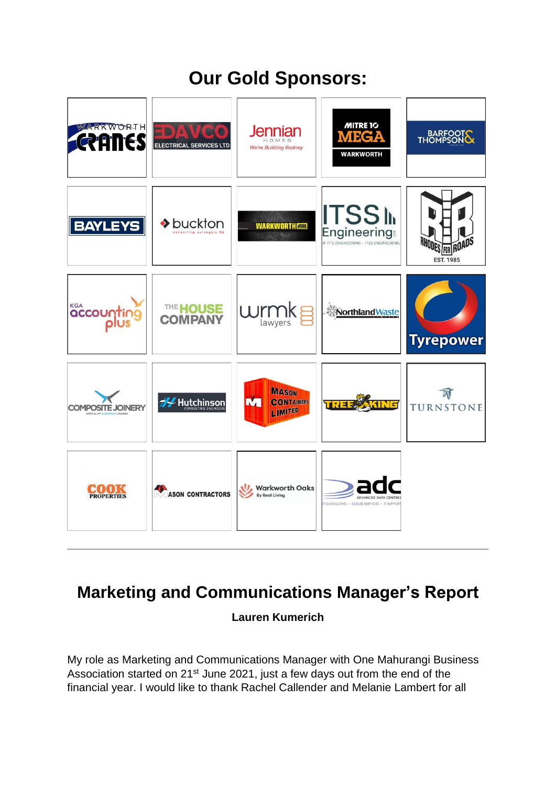# **Our Gold Sponsors:**



## **Marketing and Communications Manager's Report**

### **Lauren Kumerich**

My role as Marketing and Communications Manager with One Mahurangi Business Association started on 21<sup>st</sup> June 2021, just a few days out from the end of the financial year. I would like to thank Rachel Callender and Melanie Lambert for all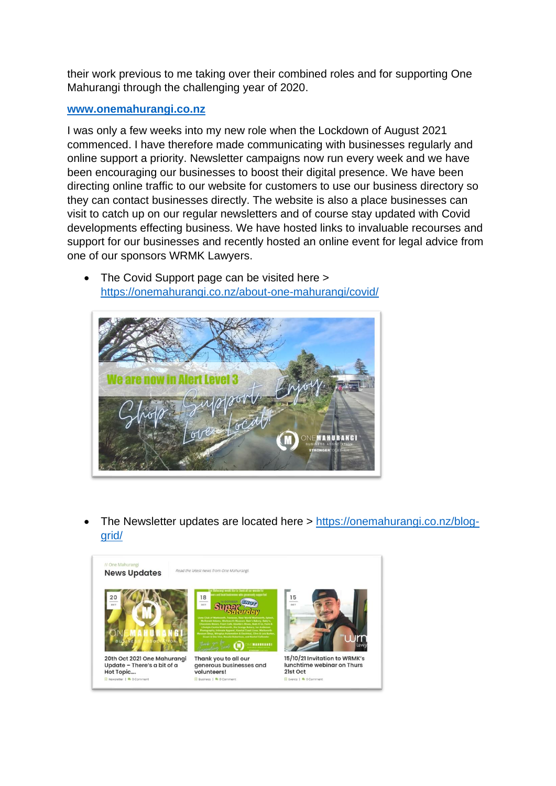their work previous to me taking over their combined roles and for supporting One Mahurangi through the challenging year of 2020.

#### **[www.onemahurangi.co.nz](https://onemahurangi.co.nz/)**

I was only a few weeks into my new role when the Lockdown of August 2021 commenced. I have therefore made communicating with businesses regularly and online support a priority. Newsletter campaigns now run every week and we have been encouraging our businesses to boost their digital presence. We have been directing online traffic to our website for customers to use our business directory so they can contact businesses directly. The website is also a place businesses can visit to catch up on our regular newsletters and of course stay updated with Covid developments effecting business. We have hosted links to invaluable recourses and support for our businesses and recently hosted an online event for legal advice from one of our sponsors WRMK Lawyers.



• The Covid Support page can be visited here > <https://onemahurangi.co.nz/about-one-mahurangi/covid/>

• The Newsletter updates are located here > [https://onemahurangi.co.nz/blog](https://onemahurangi.co.nz/blog-grid/)[grid/](https://onemahurangi.co.nz/blog-grid/)

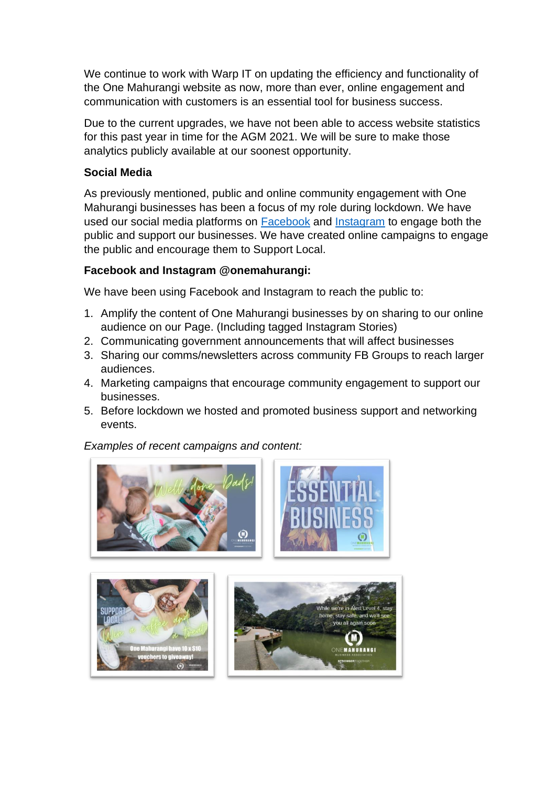We continue to work with Warp IT on updating the efficiency and functionality of the One Mahurangi website as now, more than ever, online engagement and communication with customers is an essential tool for business success.

Due to the current upgrades, we have not been able to access website statistics for this past year in time for the AGM 2021. We will be sure to make those analytics publicly available at our soonest opportunity.

#### **Social Media**

As previously mentioned, public and online community engagement with One Mahurangi businesses has been a focus of my role during lockdown. We have used our social media platforms on [Facebook](https://www.facebook.com/onemahurangi/) and [Instagram](https://www.instagram.com/onemahurangi/) to engage both the public and support our businesses. We have created online campaigns to engage the public and encourage them to Support Local.

#### **Facebook and Instagram @onemahurangi:**

We have been using Facebook and Instagram to reach the public to:

- 1. Amplify the content of One Mahurangi businesses by on sharing to our online audience on our Page. (Including tagged Instagram Stories)
- 2. Communicating government announcements that will affect businesses
- 3. Sharing our comms/newsletters across community FB Groups to reach larger audiences.
- 4. Marketing campaigns that encourage community engagement to support our businesses.
- 5. Before lockdown we hosted and promoted business support and networking events.

*Examples of recent campaigns and content:*

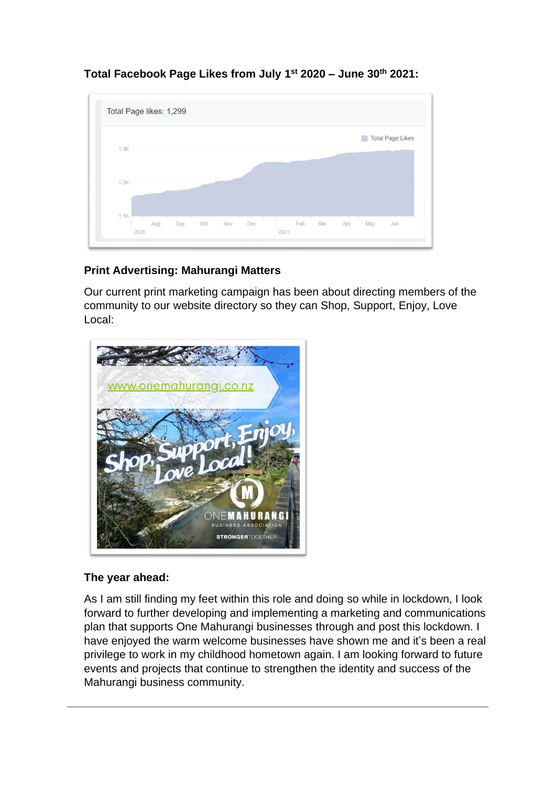



### **Print Advertising: Mahurangi Matters**

Our current print marketing campaign has been about directing members of the community to our website directory so they can Shop, Support, Enjoy, Love Local:



#### **The year ahead:**

As I am still finding my feet within this role and doing so while in lockdown, I look forward to further developing and implementing a marketing and communications plan that supports One Mahurangi businesses through and post this lockdown. I have enjoyed the warm welcome businesses have shown me and it's been a real privilege to work in my childhood hometown again. I am looking forward to future events and projects that continue to strengthen the identity and success of the Mahurangi business community.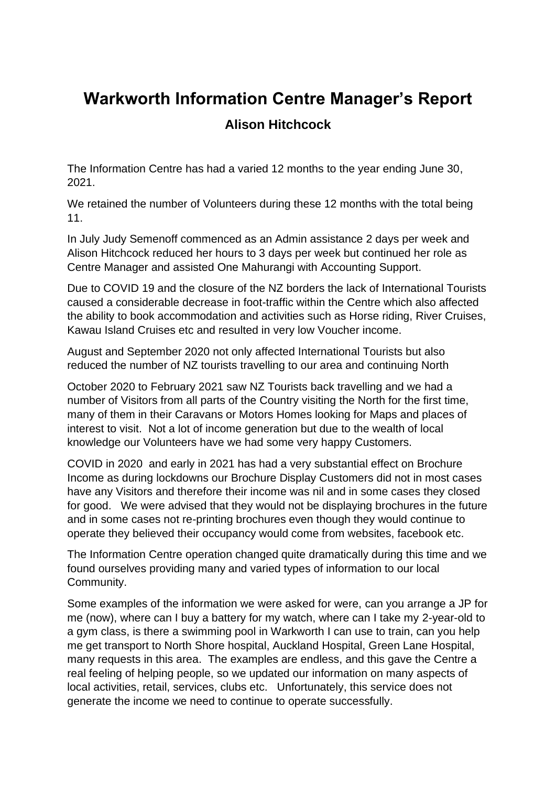# **Warkworth Information Centre Manager's Report**

### **Alison Hitchcock**

The Information Centre has had a varied 12 months to the year ending June 30, 2021.

We retained the number of Volunteers during these 12 months with the total being 11.

In July Judy Semenoff commenced as an Admin assistance 2 days per week and Alison Hitchcock reduced her hours to 3 days per week but continued her role as Centre Manager and assisted One Mahurangi with Accounting Support.

Due to COVID 19 and the closure of the NZ borders the lack of International Tourists caused a considerable decrease in foot-traffic within the Centre which also affected the ability to book accommodation and activities such as Horse riding, River Cruises, Kawau Island Cruises etc and resulted in very low Voucher income.

August and September 2020 not only affected International Tourists but also reduced the number of NZ tourists travelling to our area and continuing North

October 2020 to February 2021 saw NZ Tourists back travelling and we had a number of Visitors from all parts of the Country visiting the North for the first time, many of them in their Caravans or Motors Homes looking for Maps and places of interest to visit. Not a lot of income generation but due to the wealth of local knowledge our Volunteers have we had some very happy Customers.

COVID in 2020 and early in 2021 has had a very substantial effect on Brochure Income as during lockdowns our Brochure Display Customers did not in most cases have any Visitors and therefore their income was nil and in some cases they closed for good. We were advised that they would not be displaying brochures in the future and in some cases not re-printing brochures even though they would continue to operate they believed their occupancy would come from websites, facebook etc.

The Information Centre operation changed quite dramatically during this time and we found ourselves providing many and varied types of information to our local Community.

Some examples of the information we were asked for were, can you arrange a JP for me (now), where can I buy a battery for my watch, where can I take my 2-year-old to a gym class, is there a swimming pool in Warkworth I can use to train, can you help me get transport to North Shore hospital, Auckland Hospital, Green Lane Hospital, many requests in this area. The examples are endless, and this gave the Centre a real feeling of helping people, so we updated our information on many aspects of local activities, retail, services, clubs etc. Unfortunately, this service does not generate the income we need to continue to operate successfully.